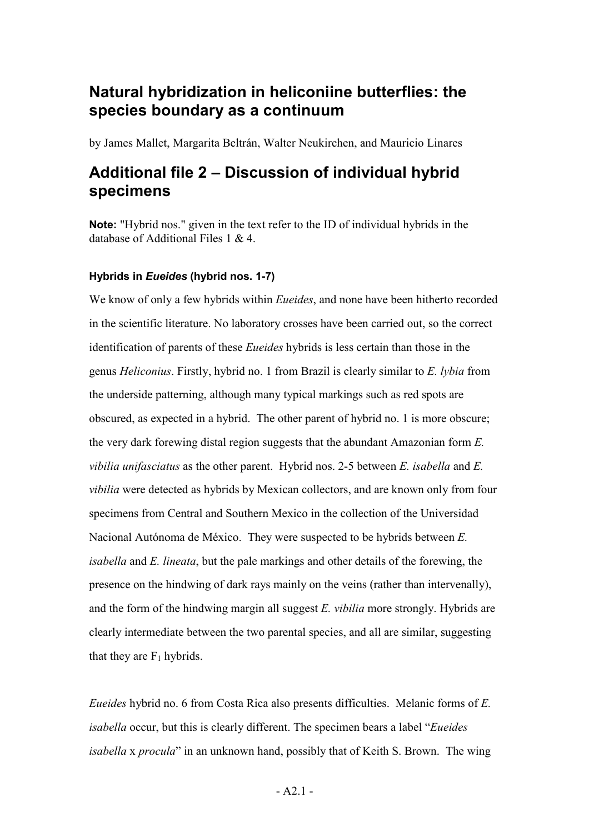## **Natural hybridization in heliconiine butterflies: the species boundary as a continuum**

by James Mallet, Margarita Beltrán, Walter Neukirchen, and Mauricio Linares

# **Additional file 2 – Discussion of individual hybrid specimens**

**Note:** "Hybrid nos." given in the text refer to the ID of individual hybrids in the database of Additional Files 1 & 4.

### **Hybrids in** *Eueides* **(hybrid nos. 1-7)**

We know of only a few hybrids within *Eueides*, and none have been hitherto recorded in the scientific literature. No laboratory crosses have been carried out, so the correct identification of parents of these *Eueides* hybrids is less certain than those in the genus *Heliconius*. Firstly, hybrid no. 1 from Brazil is clearly similar to *E. lybia* from the underside patterning, although many typical markings such as red spots are obscured, as expected in a hybrid. The other parent of hybrid no. 1 is more obscure; the very dark forewing distal region suggests that the abundant Amazonian form *E. vibilia unifasciatus* as the other parent. Hybrid nos. 2-5 between *E. isabella* and *E. vibilia* were detected as hybrids by Mexican collectors, and are known only from four specimens from Central and Southern Mexico in the collection of the Universidad Nacional Autónoma de México. They were suspected to be hybrids between *E. isabella* and *E. lineata*, but the pale markings and other details of the forewing, the presence on the hindwing of dark rays mainly on the veins (rather than intervenally), and the form of the hindwing margin all suggest *E. vibilia* more strongly. Hybrids are clearly intermediate between the two parental species, and all are similar, suggesting that they are  $F_1$  hybrids.

*Eueides* hybrid no. 6 from Costa Rica also presents difficulties. Melanic forms of *E. isabella* occur, but this is clearly different. The specimen bears a label "*Eueides isabella* x *procula*" in an unknown hand, possibly that of Keith S. Brown. The wing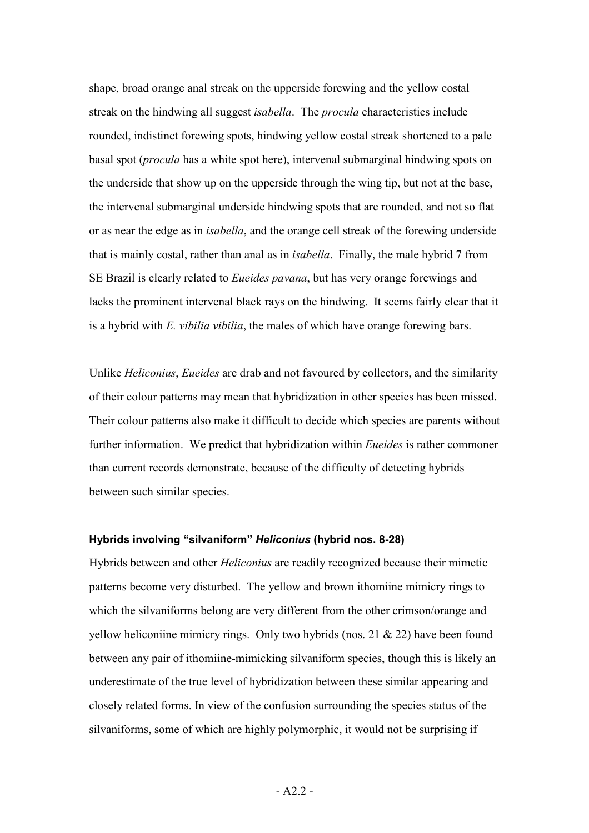shape, broad orange anal streak on the upperside forewing and the yellow costal streak on the hindwing all suggest *isabella*. The *procula* characteristics include rounded, indistinct forewing spots, hindwing yellow costal streak shortened to a pale basal spot (*procula* has a white spot here), intervenal submarginal hindwing spots on the underside that show up on the upperside through the wing tip, but not at the base, the intervenal submarginal underside hindwing spots that are rounded, and not so flat or as near the edge as in *isabella*, and the orange cell streak of the forewing underside that is mainly costal, rather than anal as in *isabella*. Finally, the male hybrid 7 from SE Brazil is clearly related to *Eueides pavana*, but has very orange forewings and lacks the prominent intervenal black rays on the hindwing. It seems fairly clear that it is a hybrid with *E. vibilia vibilia*, the males of which have orange forewing bars.

Unlike *Heliconius*, *Eueides* are drab and not favoured by collectors, and the similarity of their colour patterns may mean that hybridization in other species has been missed. Their colour patterns also make it difficult to decide which species are parents without further information. We predict that hybridization within *Eueides* is rather commoner than current records demonstrate, because of the difficulty of detecting hybrids between such similar species.

### **Hybrids involving "silvaniform"** *Heliconius* **(hybrid nos. 8-28)**

Hybrids between and other *Heliconius* are readily recognized because their mimetic patterns become very disturbed. The yellow and brown ithomiine mimicry rings to which the silvaniforms belong are very different from the other crimson/orange and yellow heliconiine mimicry rings. Only two hybrids (nos. 21 & 22) have been found between any pair of ithomiine-mimicking silvaniform species, though this is likely an underestimate of the true level of hybridization between these similar appearing and closely related forms. In view of the confusion surrounding the species status of the silvaniforms, some of which are highly polymorphic, it would not be surprising if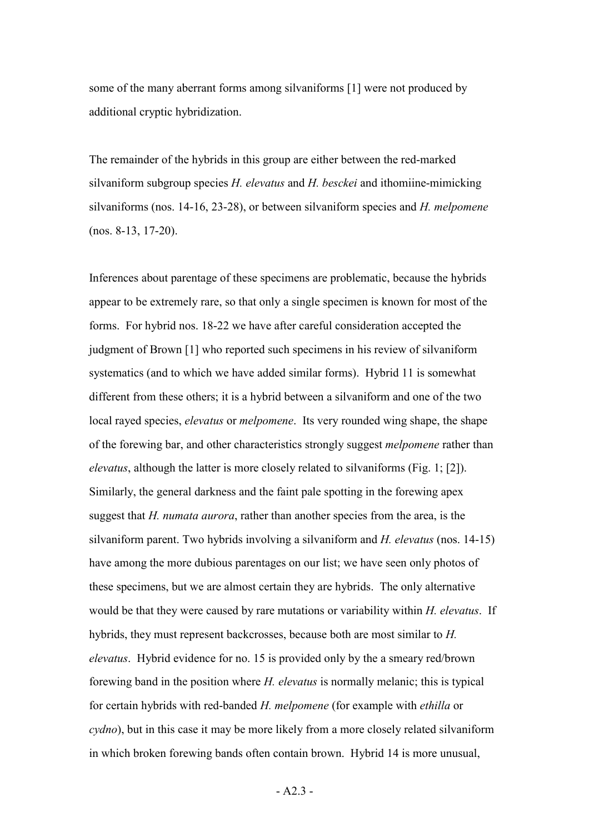some of the many aberrant forms among silvaniforms [1] were not produced by additional cryptic hybridization.

The remainder of the hybrids in this group are either between the red-marked silvaniform subgroup species *H. elevatus* and *H. besckei* and ithomiine-mimicking silvaniforms (nos. 14-16, 23-28), or between silvaniform species and *H. melpomene* (nos. 8-13, 17-20).

Inferences about parentage of these specimens are problematic, because the hybrids appear to be extremely rare, so that only a single specimen is known for most of the forms. For hybrid nos. 18-22 we have after careful consideration accepted the judgment of Brown [1] who reported such specimens in his review of silvaniform systematics (and to which we have added similar forms). Hybrid 11 is somewhat different from these others; it is a hybrid between a silvaniform and one of the two local rayed species, *elevatus* or *melpomene*. Its very rounded wing shape, the shape of the forewing bar, and other characteristics strongly suggest *melpomene* rather than *elevatus*, although the latter is more closely related to silvaniforms (Fig. 1; [2]). Similarly, the general darkness and the faint pale spotting in the forewing apex suggest that *H. numata aurora*, rather than another species from the area, is the silvaniform parent. Two hybrids involving a silvaniform and *H. elevatus* (nos. 14-15) have among the more dubious parentages on our list; we have seen only photos of these specimens, but we are almost certain they are hybrids. The only alternative would be that they were caused by rare mutations or variability within *H. elevatus*. If hybrids, they must represent backcrosses, because both are most similar to *H. elevatus*. Hybrid evidence for no. 15 is provided only by the a smeary red/brown forewing band in the position where *H. elevatus* is normally melanic; this is typical for certain hybrids with red-banded *H. melpomene* (for example with *ethilla* or *cydno*), but in this case it may be more likely from a more closely related silvaniform in which broken forewing bands often contain brown. Hybrid 14 is more unusual,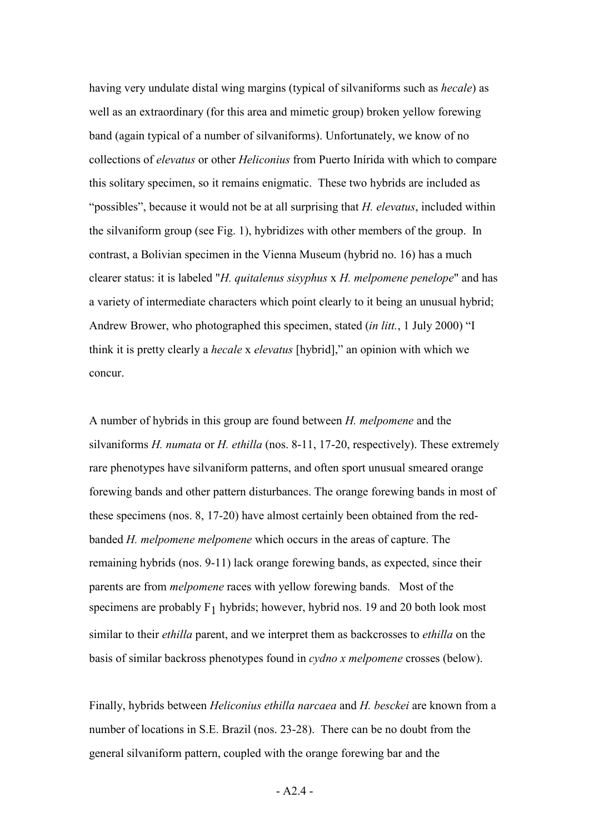having very undulate distal wing margins (typical of silvaniforms such as *hecale*) as well as an extraordinary (for this area and mimetic group) broken yellow forewing band (again typical of a number of silvaniforms). Unfortunately, we know of no collections of *elevatus* or other *Heliconius* from Puerto Inírida with which to compare this solitary specimen, so it remains enigmatic. These two hybrids are included as "possibles", because it would not be at all surprising that *H. elevatus*, included within the silvaniform group (see Fig. 1), hybridizes with other members of the group. In contrast, a Bolivian specimen in the Vienna Museum (hybrid no. 16) has a much clearer status: it is labeled "*H. quitalenus sisyphus* x *H. melpomene penelope*" and has a variety of intermediate characters which point clearly to it being an unusual hybrid; Andrew Brower, who photographed this specimen, stated (*in litt.*, 1 July 2000) "I think it is pretty clearly a *hecale* x *elevatus* [hybrid]," an opinion with which we concur.

A number of hybrids in this group are found between *H. melpomene* and the silvaniforms *H. numata* or *H. ethilla* (nos. 8-11, 17-20, respectively). These extremely rare phenotypes have silvaniform patterns, and often sport unusual smeared orange forewing bands and other pattern disturbances. The orange forewing bands in most of these specimens (nos. 8, 17-20) have almost certainly been obtained from the redbanded *H. melpomene melpomene* which occurs in the areas of capture. The remaining hybrids (nos. 9-11) lack orange forewing bands, as expected, since their parents are from *melpomene* races with yellow forewing bands. Most of the specimens are probably  $F_1$  hybrids; however, hybrid nos. 19 and 20 both look most similar to their *ethilla* parent, and we interpret them as backcrosses to *ethilla* on the basis of similar backross phenotypes found in *cydno x melpomene* crosses (below).

Finally, hybrids between *Heliconius ethilla narcaea* and *H. besckei* are known from a number of locations in S.E. Brazil (nos. 23-28). There can be no doubt from the general silvaniform pattern, coupled with the orange forewing bar and the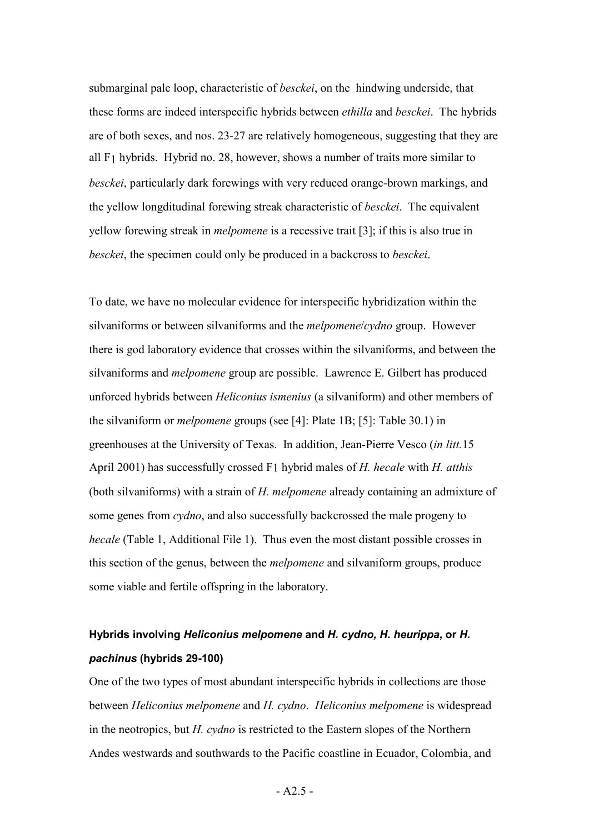submarginal pale loop, characteristic of *besckei*, on the hindwing underside, that these forms are indeed interspecific hybrids between *ethilla* and *besckei*. The hybrids are of both sexes, and nos. 23-27 are relatively homogeneous, suggesting that they are all F1 hybrids. Hybrid no. 28, however, shows a number of traits more similar to *besckei*, particularly dark forewings with very reduced orange-brown markings, and the yellow longditudinal forewing streak characteristic of *besckei*. The equivalent yellow forewing streak in *melpomene* is a recessive trait [3]; if this is also true in *besckei*, the specimen could only be produced in a backcross to *besckei*.

To date, we have no molecular evidence for interspecific hybridization within the silvaniforms or between silvaniforms and the *melpomene*/*cydno* group. However there is god laboratory evidence that crosses within the silvaniforms, and between the silvaniforms and *melpomene* group are possible. Lawrence E. Gilbert has produced unforced hybrids between *Heliconius ismenius* (a silvaniform) and other members of the silvaniform or *melpomene* groups (see [4]: Plate 1B; [5]: Table 30.1) in greenhouses at the University of Texas. In addition, Jean-Pierre Vesco (*in litt.*15 April 2001) has successfully crossed F1 hybrid males of *H. hecale* with *H. atthis* (both silvaniforms) with a strain of *H. melpomene* already containing an admixture of some genes from *cydno*, and also successfully backcrossed the male progeny to *hecale* (Table 1, Additional File 1). Thus even the most distant possible crosses in this section of the genus, between the *melpomene* and silvaniform groups, produce some viable and fertile offspring in the laboratory.

## **Hybrids involving** *Heliconius melpomene* **and** *H. cydno, H. heurippa***, or** *H. pachinus* **(hybrids 29-100)**

One of the two types of most abundant interspecific hybrids in collections are those between *Heliconius melpomene* and *H. cydno*. *Heliconius melpomene* is widespread in the neotropics, but *H. cydno* is restricted to the Eastern slopes of the Northern Andes westwards and southwards to the Pacific coastline in Ecuador, Colombia, and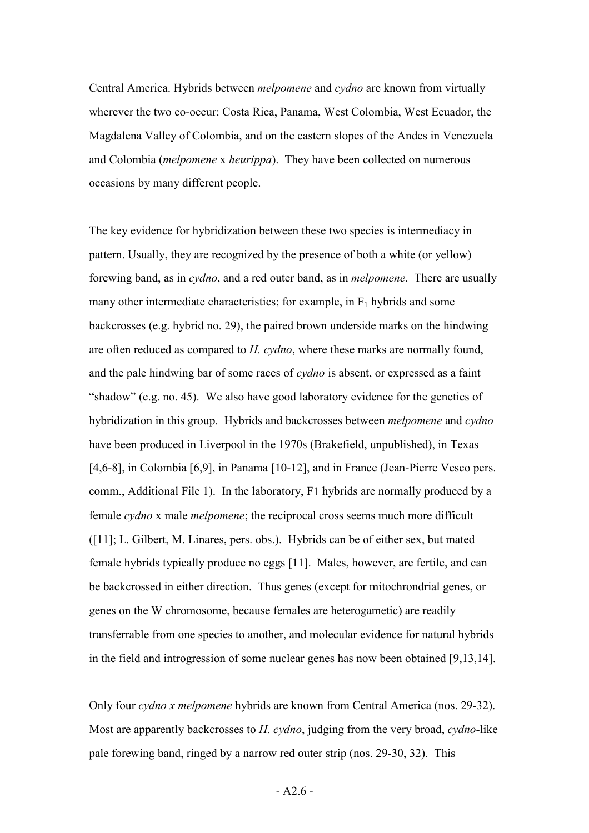Central America. Hybrids between *melpomene* and *cydno* are known from virtually wherever the two co-occur: Costa Rica, Panama, West Colombia, West Ecuador, the Magdalena Valley of Colombia, and on the eastern slopes of the Andes in Venezuela and Colombia (*melpomene* x *heurippa*). They have been collected on numerous occasions by many different people.

The key evidence for hybridization between these two species is intermediacy in pattern. Usually, they are recognized by the presence of both a white (or yellow) forewing band, as in *cydno*, and a red outer band, as in *melpomene*. There are usually many other intermediate characteristics; for example, in  $F_1$  hybrids and some backcrosses (e.g. hybrid no. 29), the paired brown underside marks on the hindwing are often reduced as compared to *H. cydno*, where these marks are normally found, and the pale hindwing bar of some races of *cydno* is absent, or expressed as a faint "shadow" (e.g. no. 45). We also have good laboratory evidence for the genetics of hybridization in this group. Hybrids and backcrosses between *melpomene* and *cydno* have been produced in Liverpool in the 1970s (Brakefield, unpublished), in Texas [4,6-8], in Colombia [6,9], in Panama [10-12], and in France (Jean-Pierre Vesco pers. comm., Additional File 1). In the laboratory, F1 hybrids are normally produced by a female *cydno* x male *melpomene*; the reciprocal cross seems much more difficult ([11]; L. Gilbert, M. Linares, pers. obs.). Hybrids can be of either sex, but mated female hybrids typically produce no eggs [11]. Males, however, are fertile, and can be backcrossed in either direction. Thus genes (except for mitochrondrial genes, or genes on the W chromosome, because females are heterogametic) are readily transferrable from one species to another, and molecular evidence for natural hybrids in the field and introgression of some nuclear genes has now been obtained [9,13,14].

Only four *cydno x melpomene* hybrids are known from Central America (nos. 29-32). Most are apparently backcrosses to *H. cydno*, judging from the very broad, *cydno*-like pale forewing band, ringed by a narrow red outer strip (nos. 29-30, 32). This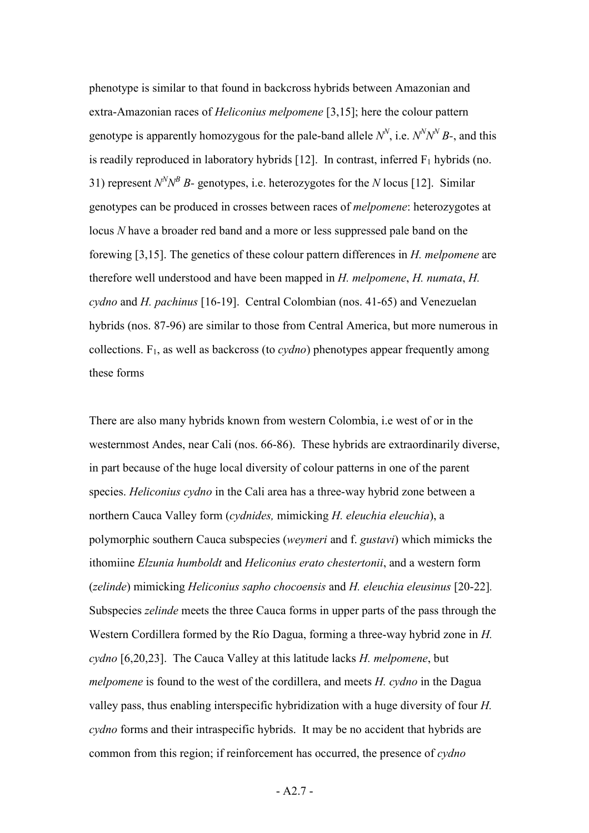phenotype is similar to that found in backcross hybrids between Amazonian and extra-Amazonian races of *Heliconius melpomene* [3,15]; here the colour pattern genotype is apparently homozygous for the pale-band allele  $N^N$ , i.e.  $N^N N^N B$ -, and this is readily reproduced in laboratory hybrids  $[12]$ . In contrast, inferred  $F_1$  hybrids (no. 31) represent  $N^N N^B B$ - genotypes, i.e. heterozygotes for the *N* locus [12]. Similar genotypes can be produced in crosses between races of *melpomene*: heterozygotes at locus *N* have a broader red band and a more or less suppressed pale band on the forewing [3,15]. The genetics of these colour pattern differences in *H. melpomene* are therefore well understood and have been mapped in *H. melpomene*, *H. numata*, *H. cydno* and *H. pachinus* [16-19]. Central Colombian (nos. 41-65) and Venezuelan hybrids (nos. 87-96) are similar to those from Central America, but more numerous in collections. F1, as well as backcross (to *cydno*) phenotypes appear frequently among these forms

There are also many hybrids known from western Colombia, i.e west of or in the westernmost Andes, near Cali (nos. 66-86). These hybrids are extraordinarily diverse, in part because of the huge local diversity of colour patterns in one of the parent species. *Heliconius cydno* in the Cali area has a three-way hybrid zone between a northern Cauca Valley form (*cydnides,* mimicking *H. eleuchia eleuchia*), a polymorphic southern Cauca subspecies (*weymeri* and f. *gustavi*) which mimicks the ithomiine *Elzunia humboldt* and *Heliconius erato chestertonii*, and a western form (*zelinde*) mimicking *Heliconius sapho chocoensis* and *H. eleuchia eleusinus* [20-22]*.*  Subspecies *zelinde* meets the three Cauca forms in upper parts of the pass through the Western Cordillera formed by the Río Dagua, forming a three-way hybrid zone in *H. cydno* [6,20,23]. The Cauca Valley at this latitude lacks *H. melpomene*, but *melpomene* is found to the west of the cordillera, and meets *H. cydno* in the Dagua valley pass, thus enabling interspecific hybridization with a huge diversity of four *H. cydno* forms and their intraspecific hybrids. It may be no accident that hybrids are common from this region; if reinforcement has occurred, the presence of *cydno*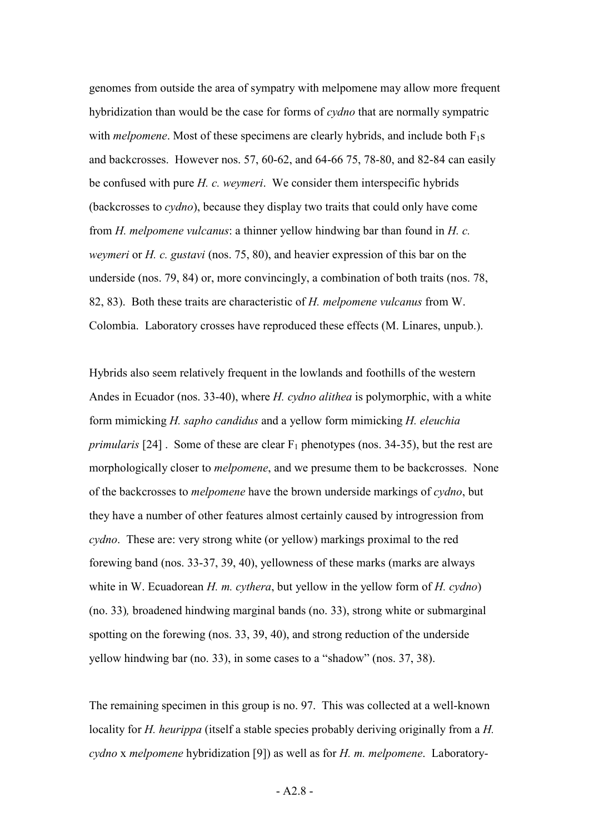genomes from outside the area of sympatry with melpomene may allow more frequent hybridization than would be the case for forms of *cydno* that are normally sympatric with *melpomene*. Most of these specimens are clearly hybrids, and include both  $F_1s$ and backcrosses. However nos. 57, 60-62, and 64-66 75, 78-80, and 82-84 can easily be confused with pure *H. c. weymeri*. We consider them interspecific hybrids (backcrosses to *cydno*), because they display two traits that could only have come from *H. melpomene vulcanus*: a thinner yellow hindwing bar than found in *H. c. weymeri* or *H. c. gustavi* (nos. 75, 80), and heavier expression of this bar on the underside (nos. 79, 84) or, more convincingly, a combination of both traits (nos. 78, 82, 83). Both these traits are characteristic of *H. melpomene vulcanus* from W. Colombia. Laboratory crosses have reproduced these effects (M. Linares, unpub.).

Hybrids also seem relatively frequent in the lowlands and foothills of the western Andes in Ecuador (nos. 33-40), where *H. cydno alithea* is polymorphic, with a white form mimicking *H. sapho candidus* and a yellow form mimicking *H. eleuchia primularis* [24]. Some of these are clear  $F_1$  phenotypes (nos. 34-35), but the rest are morphologically closer to *melpomene*, and we presume them to be backcrosses. None of the backcrosses to *melpomene* have the brown underside markings of *cydno*, but they have a number of other features almost certainly caused by introgression from *cydno*. These are: very strong white (or yellow) markings proximal to the red forewing band (nos. 33-37, 39, 40), yellowness of these marks (marks are always white in W. Ecuadorean *H. m. cythera*, but yellow in the yellow form of *H. cydno*) (no. 33)*,* broadened hindwing marginal bands (no. 33), strong white or submarginal spotting on the forewing (nos. 33, 39, 40), and strong reduction of the underside yellow hindwing bar (no. 33), in some cases to a "shadow" (nos. 37, 38).

The remaining specimen in this group is no. 97. This was collected at a well-known locality for *H. heurippa* (itself a stable species probably deriving originally from a *H*. *cydno* x *melpomene* hybridization [9]) as well as for *H. m. melpomene*. Laboratory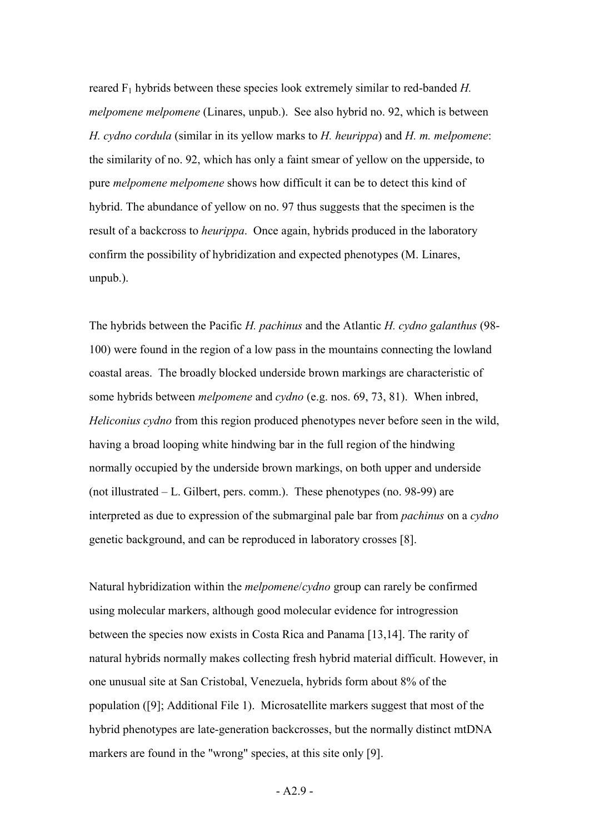reared F1 hybrids between these species look extremely similar to red-banded *H. melpomene melpomene* (Linares, unpub.). See also hybrid no. 92, which is between *H. cydno cordula* (similar in its yellow marks to *H. heurippa*) and *H. m. melpomene*: the similarity of no. 92, which has only a faint smear of yellow on the upperside, to pure *melpomene melpomene* shows how difficult it can be to detect this kind of hybrid. The abundance of yellow on no. 97 thus suggests that the specimen is the result of a backcross to *heurippa*. Once again, hybrids produced in the laboratory confirm the possibility of hybridization and expected phenotypes (M. Linares, unpub.).

The hybrids between the Pacific *H. pachinus* and the Atlantic *H. cydno galanthus* (98- 100) were found in the region of a low pass in the mountains connecting the lowland coastal areas. The broadly blocked underside brown markings are characteristic of some hybrids between *melpomene* and *cydno* (e.g. nos. 69, 73, 81). When inbred, *Heliconius cydno* from this region produced phenotypes never before seen in the wild, having a broad looping white hindwing bar in the full region of the hindwing normally occupied by the underside brown markings, on both upper and underside (not illustrated – L. Gilbert, pers. comm.). These phenotypes (no. 98-99) are interpreted as due to expression of the submarginal pale bar from *pachinus* on a *cydno* genetic background, and can be reproduced in laboratory crosses [8].

Natural hybridization within the *melpomene*/*cydno* group can rarely be confirmed using molecular markers, although good molecular evidence for introgression between the species now exists in Costa Rica and Panama [13,14]. The rarity of natural hybrids normally makes collecting fresh hybrid material difficult. However, in one unusual site at San Cristobal, Venezuela, hybrids form about 8% of the population ([9]; Additional File 1). Microsatellite markers suggest that most of the hybrid phenotypes are late-generation backcrosses, but the normally distinct mtDNA markers are found in the "wrong" species, at this site only [9].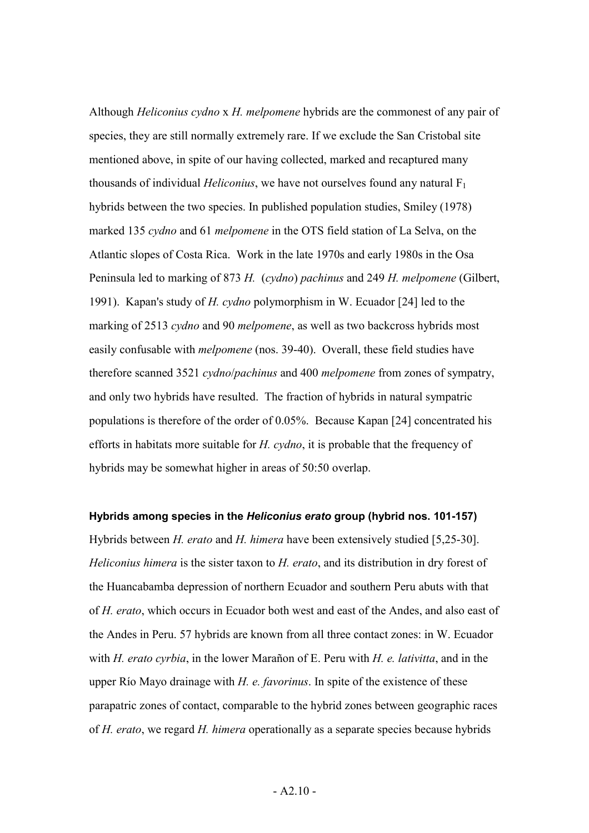Although *Heliconius cydno* x *H. melpomene* hybrids are the commonest of any pair of species, they are still normally extremely rare. If we exclude the San Cristobal site mentioned above, in spite of our having collected, marked and recaptured many thousands of individual *Heliconius*, we have not ourselves found any natural F1 hybrids between the two species. In published population studies, Smiley (1978) marked 135 *cydno* and 61 *melpomene* in the OTS field station of La Selva, on the Atlantic slopes of Costa Rica. Work in the late 1970s and early 1980s in the Osa Peninsula led to marking of 873 *H.* (*cydno*) *pachinus* and 249 *H. melpomene* (Gilbert, 1991). Kapan's study of *H. cydno* polymorphism in W. Ecuador [24] led to the marking of 2513 *cydno* and 90 *melpomene*, as well as two backcross hybrids most easily confusable with *melpomene* (nos. 39-40). Overall, these field studies have therefore scanned 3521 *cydno*/*pachinus* and 400 *melpomene* from zones of sympatry, and only two hybrids have resulted. The fraction of hybrids in natural sympatric populations is therefore of the order of 0.05%. Because Kapan [24] concentrated his efforts in habitats more suitable for *H. cydno*, it is probable that the frequency of hybrids may be somewhat higher in areas of 50:50 overlap.

#### **Hybrids among species in the** *Heliconius erato* **group (hybrid nos. 101-157)**

Hybrids between *H. erato* and *H. himera* have been extensively studied [5,25-30]. *Heliconius himera* is the sister taxon to *H. erato*, and its distribution in dry forest of the Huancabamba depression of northern Ecuador and southern Peru abuts with that of *H. erato*, which occurs in Ecuador both west and east of the Andes, and also east of the Andes in Peru. 57 hybrids are known from all three contact zones: in W. Ecuador with *H. erato cyrbia*, in the lower Marañon of E. Peru with *H. e. lativitta*, and in the upper Río Mayo drainage with *H. e. favorinus*. In spite of the existence of these parapatric zones of contact, comparable to the hybrid zones between geographic races of *H. erato*, we regard *H. himera* operationally as a separate species because hybrids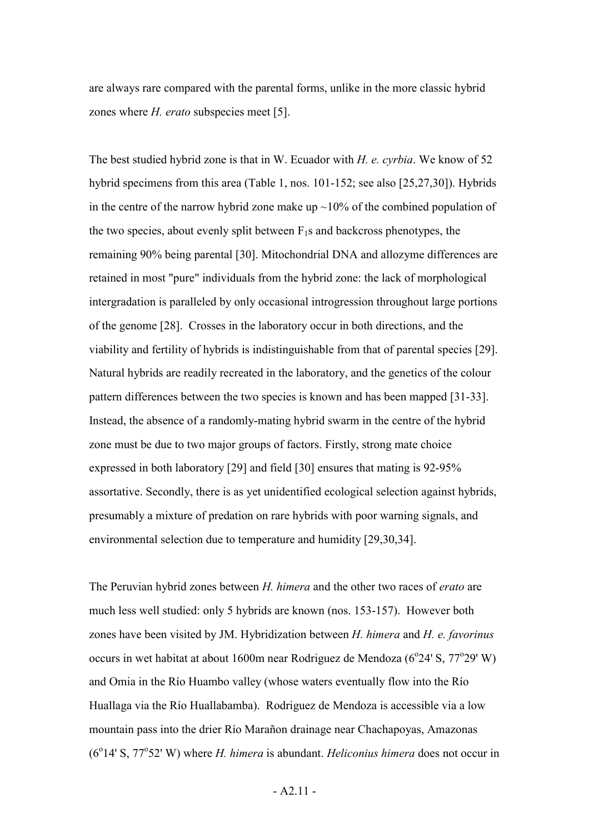are always rare compared with the parental forms, unlike in the more classic hybrid zones where *H. erato* subspecies meet [5].

The best studied hybrid zone is that in W. Ecuador with *H. e. cyrbia*. We know of 52 hybrid specimens from this area (Table 1, nos. 101-152; see also [25,27,30]). Hybrids in the centre of the narrow hybrid zone make up  $\sim$ 10% of the combined population of the two species, about evenly split between  $F_1s$  and backcross phenotypes, the remaining 90% being parental [30]. Mitochondrial DNA and allozyme differences are retained in most "pure" individuals from the hybrid zone: the lack of morphological intergradation is paralleled by only occasional introgression throughout large portions of the genome [28]. Crosses in the laboratory occur in both directions, and the viability and fertility of hybrids is indistinguishable from that of parental species [29]. Natural hybrids are readily recreated in the laboratory, and the genetics of the colour pattern differences between the two species is known and has been mapped [31-33]. Instead, the absence of a randomly-mating hybrid swarm in the centre of the hybrid zone must be due to two major groups of factors. Firstly, strong mate choice expressed in both laboratory [29] and field [30] ensures that mating is 92-95% assortative. Secondly, there is as yet unidentified ecological selection against hybrids, presumably a mixture of predation on rare hybrids with poor warning signals, and environmental selection due to temperature and humidity [29,30,34].

The Peruvian hybrid zones between *H. himera* and the other two races of *erato* are much less well studied: only 5 hybrids are known (nos. 153-157). However both zones have been visited by JM. Hybridization between *H. himera* and *H. e. favorinus* occurs in wet habitat at about 1600m near Rodriguez de Mendoza  $(6^{\circ}24^{\circ}S, 77^{\circ}29^{\circ}W)$ and Omia in the Río Huambo valley (whose waters eventually flow into the Río Huallaga via the Río Huallabamba). Rodriguez de Mendoza is accessible via a low mountain pass into the drier Río Marañon drainage near Chachapoyas, Amazonas (6<sup>°</sup>14' S, 77<sup>°</sup>52' W) where *H. himera* is abundant. *Heliconius himera* does not occur in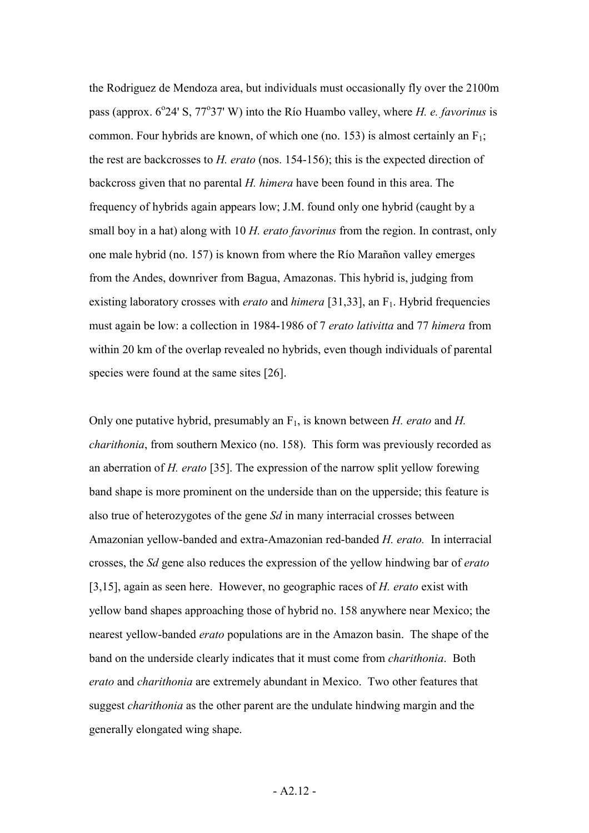the Rodriguez de Mendoza area, but individuals must occasionally fly over the 2100m pass (approx. 6<sup>o</sup>24' S, 77<sup>o</sup>37' W) into the Río Huambo valley, where *H. e. favorinus* is common. Four hybrids are known, of which one (no. 153) is almost certainly an  $F_1$ ; the rest are backcrosses to *H. erato* (nos. 154-156); this is the expected direction of backcross given that no parental *H. himera* have been found in this area. The frequency of hybrids again appears low; J.M. found only one hybrid (caught by a small boy in a hat) along with 10 *H. erato favorinus* from the region. In contrast, only one male hybrid (no. 157) is known from where the Río Marañon valley emerges from the Andes, downriver from Bagua, Amazonas. This hybrid is, judging from existing laboratory crosses with *erato* and *himera* [31,33], an F<sub>1</sub>. Hybrid frequencies must again be low: a collection in 1984-1986 of 7 *erato lativitta* and 77 *himera* from within 20 km of the overlap revealed no hybrids, even though individuals of parental species were found at the same sites [26].

Only one putative hybrid, presumably an F1, is known between *H. erato* and *H. charithonia*, from southern Mexico (no. 158). This form was previously recorded as an aberration of *H. erato* [35]. The expression of the narrow split yellow forewing band shape is more prominent on the underside than on the upperside; this feature is also true of heterozygotes of the gene *Sd* in many interracial crosses between Amazonian yellow-banded and extra-Amazonian red-banded *H. erato.* In interracial crosses, the *Sd* gene also reduces the expression of the yellow hindwing bar of *erato* [3,15], again as seen here. However, no geographic races of *H. erato* exist with yellow band shapes approaching those of hybrid no. 158 anywhere near Mexico; the nearest yellow-banded *erato* populations are in the Amazon basin. The shape of the band on the underside clearly indicates that it must come from *charithonia*. Both *erato* and *charithonia* are extremely abundant in Mexico. Two other features that suggest *charithonia* as the other parent are the undulate hindwing margin and the generally elongated wing shape.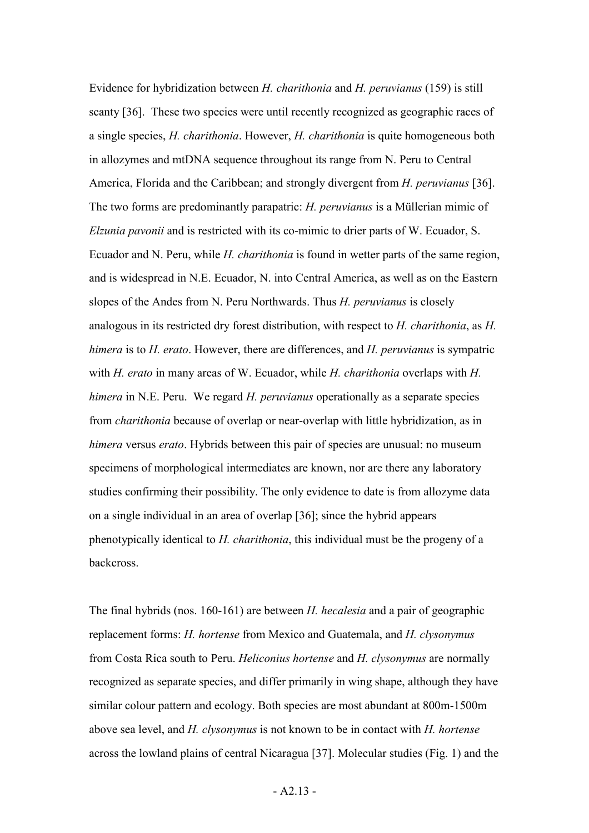Evidence for hybridization between *H. charithonia* and *H. peruvianus* (159) is still scanty [36]. These two species were until recently recognized as geographic races of a single species, *H. charithonia*. However, *H. charithonia* is quite homogeneous both in allozymes and mtDNA sequence throughout its range from N. Peru to Central America, Florida and the Caribbean; and strongly divergent from *H. peruvianus* [36]. The two forms are predominantly parapatric: *H. peruvianus* is a Müllerian mimic of *Elzunia pavonii* and is restricted with its co-mimic to drier parts of W. Ecuador, S. Ecuador and N. Peru, while *H. charithonia* is found in wetter parts of the same region, and is widespread in N.E. Ecuador, N. into Central America, as well as on the Eastern slopes of the Andes from N. Peru Northwards. Thus *H. peruvianus* is closely analogous in its restricted dry forest distribution, with respect to *H. charithonia*, as *H. himera* is to *H. erato*. However, there are differences, and *H. peruvianus* is sympatric with *H. erato* in many areas of W. Ecuador, while *H. charithonia* overlaps with *H. himera* in N.E. Peru. We regard *H. peruvianus* operationally as a separate species from *charithonia* because of overlap or near-overlap with little hybridization, as in *himera* versus *erato*. Hybrids between this pair of species are unusual: no museum specimens of morphological intermediates are known, nor are there any laboratory studies confirming their possibility. The only evidence to date is from allozyme data on a single individual in an area of overlap [36]; since the hybrid appears phenotypically identical to *H. charithonia*, this individual must be the progeny of a backcross.

The final hybrids (nos. 160-161) are between *H. hecalesia* and a pair of geographic replacement forms: *H. hortense* from Mexico and Guatemala, and *H. clysonymus* from Costa Rica south to Peru. *Heliconius hortense* and *H. clysonymus* are normally recognized as separate species, and differ primarily in wing shape, although they have similar colour pattern and ecology. Both species are most abundant at 800m-1500m above sea level, and *H. clysonymus* is not known to be in contact with *H. hortense* across the lowland plains of central Nicaragua [37]. Molecular studies (Fig. 1) and the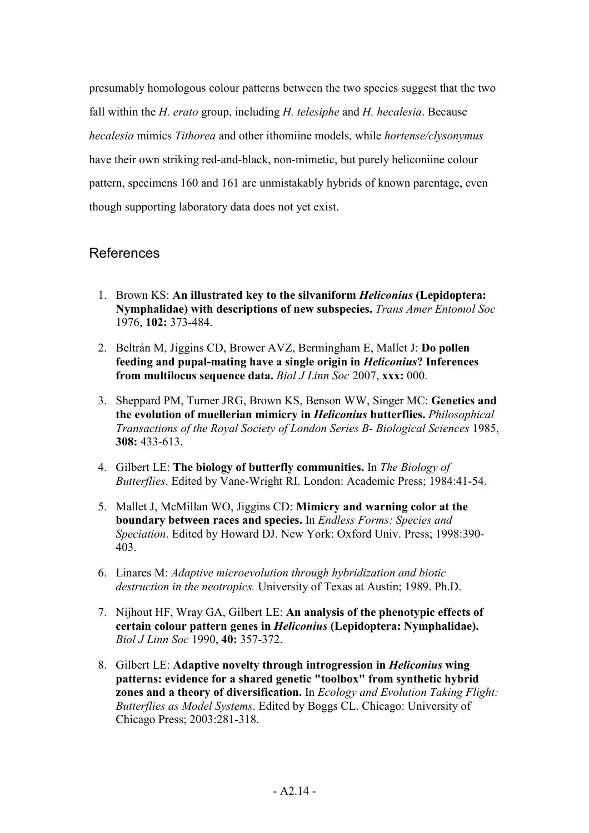presumably homologous colour patterns between the two species suggest that the two fall within the *H. erato* group, including *H. telesiphe* and *H. hecalesia*. Because *hecalesia* mimics *Tithorea* and other ithomiine models, while *hortense/clysonymus* have their own striking red-and-black, non-mimetic, but purely heliconiine colour pattern, specimens 160 and 161 are unmistakably hybrids of known parentage, even though supporting laboratory data does not yet exist.

### References

- 1. Brown KS: **An illustrated key to the silvaniform** *Heliconius* **(Lepidoptera: Nymphalidae) with descriptions of new subspecies.** *Trans Amer Entomol Soc* 1976, **102:** 373-484.
- 2. Beltrán M, Jiggins CD, Brower AVZ, Bermingham E, Mallet J: **Do pollen feeding and pupal-mating have a single origin in** *Heliconius***? Inferences from multilocus sequence data.** *Biol J Linn Soc* 2007, **xxx:** 000.
- 3. Sheppard PM, Turner JRG, Brown KS, Benson WW, Singer MC: **Genetics and the evolution of muellerian mimicry in** *Heliconius* **butterflies.** *Philosophical Transactions of the Royal Society of London Series B- Biological Sciences* 1985, **308:** 433-613.
- 4. Gilbert LE: **The biology of butterfly communities.** In *The Biology of Butterflies*. Edited by Vane-Wright RI. London: Academic Press; 1984:41-54.
- 5. Mallet J, McMillan WO, Jiggins CD: **Mimicry and warning color at the boundary between races and species.** In *Endless Forms: Species and Speciation*. Edited by Howard DJ. New York: Oxford Univ. Press; 1998:390- 403.
- 6. Linares M: *Adaptive microevolution through hybridization and biotic destruction in the neotropics.* University of Texas at Austin; 1989. Ph.D.
- 7. Nijhout HF, Wray GA, Gilbert LE: **An analysis of the phenotypic effects of certain colour pattern genes in** *Heliconius* **(Lepidoptera: Nymphalidae).** *Biol J Linn Soc* 1990, **40:** 357-372.
- 8. Gilbert LE: **Adaptive novelty through introgression in** *Heliconius* **wing patterns: evidence for a shared genetic "toolbox" from synthetic hybrid zones and a theory of diversification.** In *Ecology and Evolution Taking Flight: Butterflies as Model Systems*. Edited by Boggs CL. Chicago: University of Chicago Press; 2003:281-318.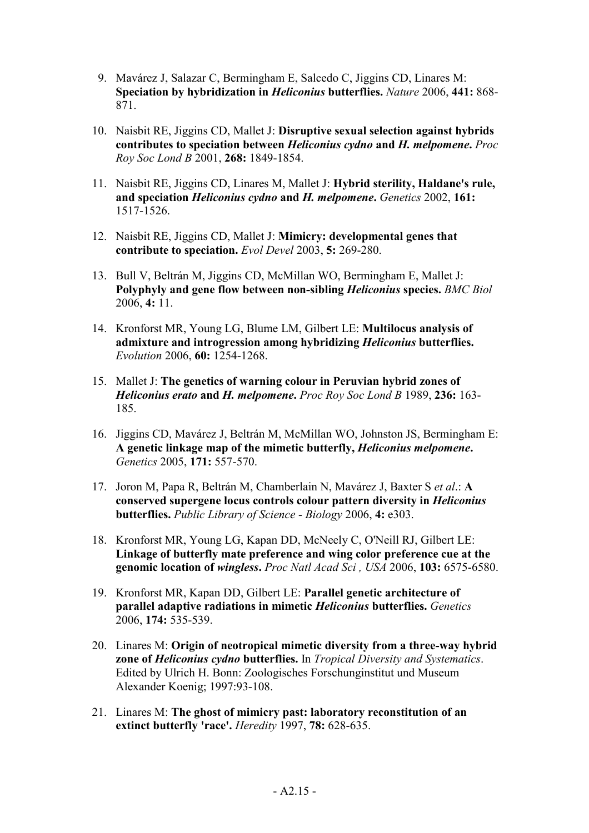- 9. Mavárez J, Salazar C, Bermingham E, Salcedo C, Jiggins CD, Linares M: **Speciation by hybridization in** *Heliconius* **butterflies.** *Nature* 2006, **441:** 868- 871.
- 10. Naisbit RE, Jiggins CD, Mallet J: **Disruptive sexual selection against hybrids contributes to speciation between** *Heliconius cydno* **and** *H. melpomene***.** *Proc Roy Soc Lond B* 2001, **268:** 1849-1854.
- 11. Naisbit RE, Jiggins CD, Linares M, Mallet J: **Hybrid sterility, Haldane's rule, and speciation** *Heliconius cydno* **and** *H. melpomene***.** *Genetics* 2002, **161:** 1517-1526.
- 12. Naisbit RE, Jiggins CD, Mallet J: **Mimicry: developmental genes that contribute to speciation.** *Evol Devel* 2003, **5:** 269-280.
- 13. Bull V, Beltrán M, Jiggins CD, McMillan WO, Bermingham E, Mallet J: **Polyphyly and gene flow between non-sibling** *Heliconius* **species.** *BMC Biol* 2006, **4:** 11.
- 14. Kronforst MR, Young LG, Blume LM, Gilbert LE: **Multilocus analysis of admixture and introgression among hybridizing** *Heliconius* **butterflies.** *Evolution* 2006, **60:** 1254-1268.
- 15. Mallet J: **The genetics of warning colour in Peruvian hybrid zones of**  *Heliconius erato* **and** *H. melpomene***.** *Proc Roy Soc Lond B* 1989, **236:** 163- 185.
- 16. Jiggins CD, Mavárez J, Beltrán M, McMillan WO, Johnston JS, Bermingham E: **A genetic linkage map of the mimetic butterfly,** *Heliconius melpomene***.** *Genetics* 2005, **171:** 557-570.
- 17. Joron M, Papa R, Beltrán M, Chamberlain N, Mavárez J, Baxter S *et al*.: **A conserved supergene locus controls colour pattern diversity in** *Heliconius* **butterflies.** *Public Library of Science - Biology* 2006, **4:** e303.
- 18. Kronforst MR, Young LG, Kapan DD, McNeely C, O'Neill RJ, Gilbert LE: **Linkage of butterfly mate preference and wing color preference cue at the genomic location of** *wingless***.** *Proc Natl Acad Sci , USA* 2006, **103:** 6575-6580.
- 19. Kronforst MR, Kapan DD, Gilbert LE: **Parallel genetic architecture of parallel adaptive radiations in mimetic** *Heliconius* **butterflies.** *Genetics* 2006, **174:** 535-539.
- 20. Linares M: **Origin of neotropical mimetic diversity from a three-way hybrid zone of** *Heliconius cydno* **butterflies.** In *Tropical Diversity and Systematics*. Edited by Ulrich H. Bonn: Zoologisches Forschunginstitut und Museum Alexander Koenig; 1997:93-108.
- 21. Linares M: **The ghost of mimicry past: laboratory reconstitution of an extinct butterfly 'race'.** *Heredity* 1997, **78:** 628-635.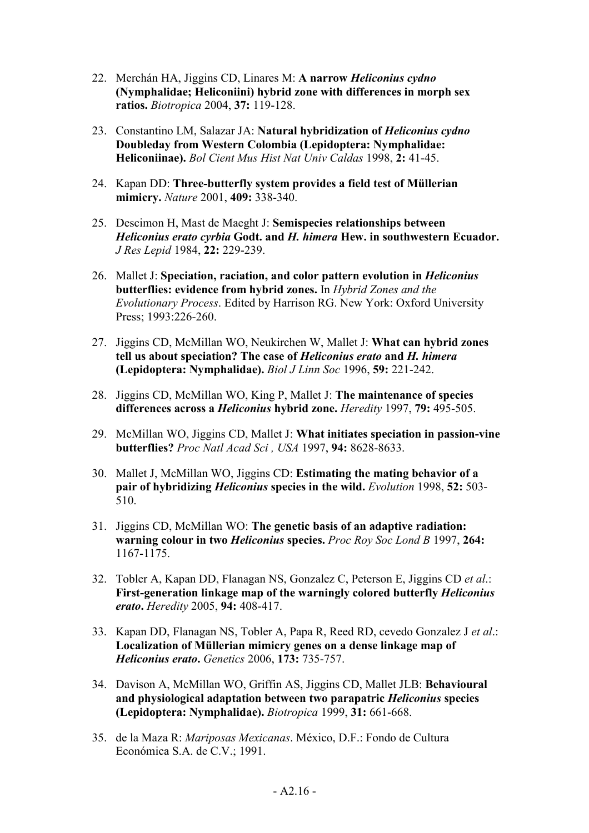- 22. Merchán HA, Jiggins CD, Linares M: **A narrow** *Heliconius cydno* **(Nymphalidae; Heliconiini) hybrid zone with differences in morph sex ratios.** *Biotropica* 2004, **37:** 119-128.
- 23. Constantino LM, Salazar JA: **Natural hybridization of** *Heliconius cydno* **Doubleday from Western Colombia (Lepidoptera: Nymphalidae: Heliconiinae).** *Bol Cient Mus Hist Nat Univ Caldas* 1998, **2:** 41-45.
- 24. Kapan DD: **Three-butterfly system provides a field test of Müllerian mimicry.** *Nature* 2001, **409:** 338-340.
- 25. Descimon H, Mast de Maeght J: **Semispecies relationships between**  *Heliconius erato cyrbia* **Godt. and** *H. himera* **Hew. in southwestern Ecuador.** *J Res Lepid* 1984, **22:** 229-239.
- 26. Mallet J: **Speciation, raciation, and color pattern evolution in** *Heliconius* **butterflies: evidence from hybrid zones.** In *Hybrid Zones and the Evolutionary Process*. Edited by Harrison RG. New York: Oxford University Press; 1993:226-260.
- 27. Jiggins CD, McMillan WO, Neukirchen W, Mallet J: **What can hybrid zones tell us about speciation? The case of** *Heliconius erato* **and** *H. himera* **(Lepidoptera: Nymphalidae).** *Biol J Linn Soc* 1996, **59:** 221-242.
- 28. Jiggins CD, McMillan WO, King P, Mallet J: **The maintenance of species differences across a** *Heliconius* **hybrid zone.** *Heredity* 1997, **79:** 495-505.
- 29. McMillan WO, Jiggins CD, Mallet J: **What initiates speciation in passion-vine butterflies?** *Proc Natl Acad Sci , USA* 1997, **94:** 8628-8633.
- 30. Mallet J, McMillan WO, Jiggins CD: **Estimating the mating behavior of a pair of hybridizing** *Heliconius* **species in the wild.** *Evolution* 1998, **52:** 503- 510.
- 31. Jiggins CD, McMillan WO: **The genetic basis of an adaptive radiation: warning colour in two** *Heliconius* **species.** *Proc Roy Soc Lond B* 1997, **264:** 1167-1175.
- 32. Tobler A, Kapan DD, Flanagan NS, Gonzalez C, Peterson E, Jiggins CD *et al*.: **First-generation linkage map of the warningly colored butterfly** *Heliconius erato***.** *Heredity* 2005, **94:** 408-417.
- 33. Kapan DD, Flanagan NS, Tobler A, Papa R, Reed RD, cevedo Gonzalez J *et al*.: **Localization of Müllerian mimicry genes on a dense linkage map of**  *Heliconius erato***.** *Genetics* 2006, **173:** 735-757.
- 34. Davison A, McMillan WO, Griffin AS, Jiggins CD, Mallet JLB: **Behavioural and physiological adaptation between two parapatric** *Heliconius* **species (Lepidoptera: Nymphalidae).** *Biotropica* 1999, **31:** 661-668.
- 35. de la Maza R: *Mariposas Mexicanas*. México, D.F.: Fondo de Cultura Económica S.A. de C.V.; 1991.